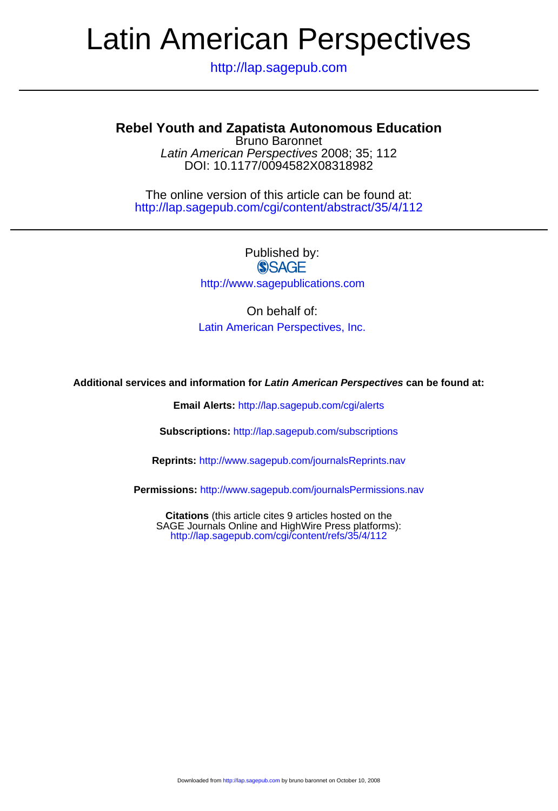# Latin American Perspectives

http://lap.sagepub.com

### Bruno Baronnet **Rebel Youth and Zapatista Autonomous Education**

DOI: 10.1177/0094582X08318982 Latin American Perspectives 2008; 35; 112

http://lap.sagepub.com/cgi/content/abstract/35/4/112 The online version of this article can be found at:

> Published by: **SSAGE** http://www.sagepublications.com

On behalf of: [Latin American Perspectives, Inc.](http://www.latinamericanperspectives.com/home.html)

**Additional services and information for Latin American Perspectives can be found at:**

**Email Alerts:** <http://lap.sagepub.com/cgi/alerts>

**Subscriptions:** <http://lap.sagepub.com/subscriptions>

**Reprints:** <http://www.sagepub.com/journalsReprints.nav>

**Permissions:** <http://www.sagepub.com/journalsPermissions.nav>

<http://lap.sagepub.com/cgi/content/refs/35/4/112> SAGE Journals Online and HighWire Press platforms): **Citations** (this article cites 9 articles hosted on the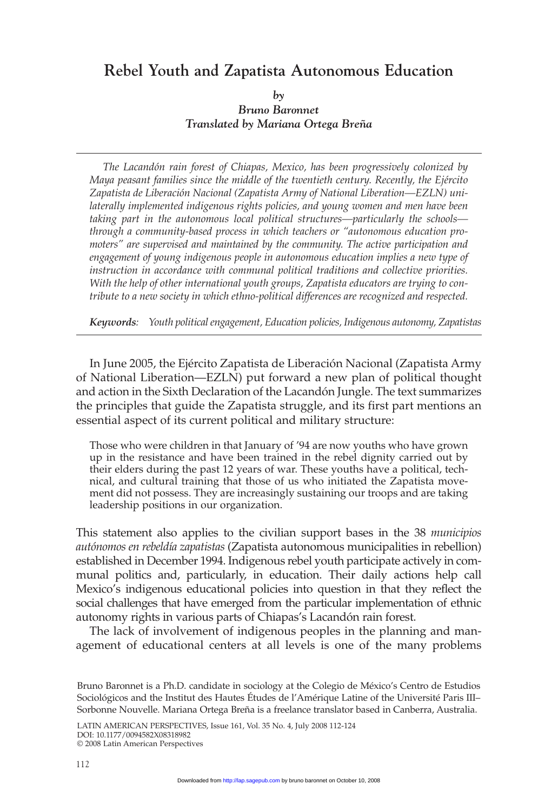## **Rebel Youth and Zapatista Autonomous Education**

## *by Bruno Baronnet Translated by Mariana Ortega Breña*

*The Lacandón rain forest of Chiapas, Mexico, has been progressively colonized by Maya peasant families since the middle of the twentieth century. Recently, the Ejército Zapatista de Liberación Nacional (Zapatista Army of National Liberation—EZLN) unilaterally implemented indigenous rights policies, and young women and men have been taking part in the autonomous local political structures—particularly the schools through a community-based process in which teachers or "autonomous education promoters" are supervised and maintained by the community. The active participation and engagement of young indigenous people in autonomous education implies a new type of instruction in accordance with communal political traditions and collective priorities. With the help of other international youth groups, Zapatista educators are trying to contribute to a new society in which ethno-political differences are recognized and respected.*

*Keywords: Youth political engagement, Education policies, Indigenous autonomy, Zapatistas*

In June 2005, the Ejército Zapatista de Liberación Nacional (Zapatista Army of National Liberation—EZLN) put forward a new plan of political thought and action in the Sixth Declaration of the Lacandón Jungle. The text summarizes the principles that guide the Zapatista struggle, and its first part mentions an essential aspect of its current political and military structure:

Those who were children in that January of '94 are now youths who have grown up in the resistance and have been trained in the rebel dignity carried out by their elders during the past 12 years of war. These youths have a political, technical, and cultural training that those of us who initiated the Zapatista movement did not possess. They are increasingly sustaining our troops and are taking leadership positions in our organization.

This statement also applies to the civilian support bases in the 38 *municipios autónomos en rebeldía zapatistas* (Zapatista autonomous municipalities in rebellion) established in December 1994. Indigenous rebel youth participate actively in communal politics and, particularly, in education. Their daily actions help call Mexico's indigenous educational policies into question in that they reflect the social challenges that have emerged from the particular implementation of ethnic autonomy rights in various parts of Chiapas's Lacandón rain forest.

The lack of involvement of indigenous peoples in the planning and management of educational centers at all levels is one of the many problems

Bruno Baronnet is a Ph.D. candidate in sociology at the Colegio de México's Centro de Estudios Sociológicos and the Institut des Hautes Études de l'Amérique Latine of the Université Paris III– Sorbonne Nouvelle. Mariana Ortega Breña is a freelance translator based in Canberra, Australia.

LATIN AMERICAN PERSPECTIVES, Issue 161, Vol. 35 No. 4, July 2008 112-124 DOI: 10.1177/0094582X08318982 © 2008 Latin American Perspectives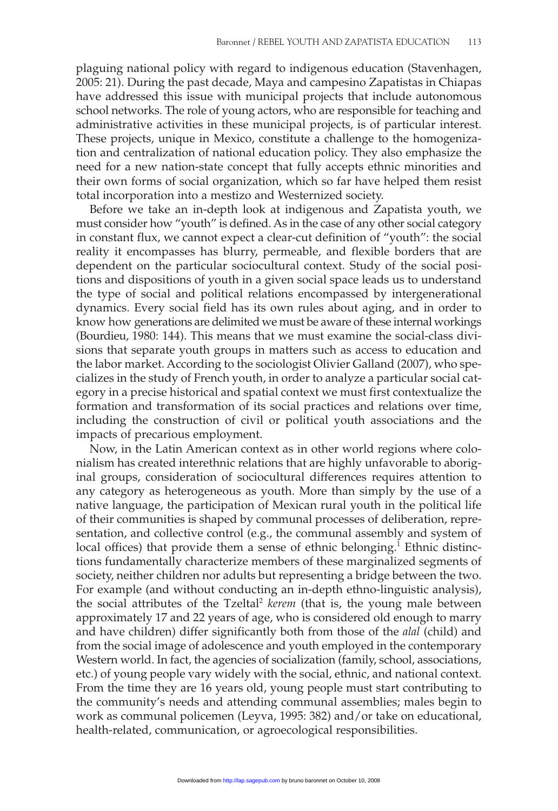plaguing national policy with regard to indigenous education (Stavenhagen, 2005: 21). During the past decade, Maya and campesino Zapatistas in Chiapas have addressed this issue with municipal projects that include autonomous school networks. The role of young actors, who are responsible for teaching and administrative activities in these municipal projects, is of particular interest. These projects, unique in Mexico, constitute a challenge to the homogenization and centralization of national education policy. They also emphasize the need for a new nation-state concept that fully accepts ethnic minorities and their own forms of social organization, which so far have helped them resist total incorporation into a mestizo and Westernized society.

Before we take an in-depth look at indigenous and Zapatista youth, we must consider how "youth" is defined. As in the case of any other social category in constant flux, we cannot expect a clear-cut definition of "youth": the social reality it encompasses has blurry, permeable, and flexible borders that are dependent on the particular sociocultural context. Study of the social positions and dispositions of youth in a given social space leads us to understand the type of social and political relations encompassed by intergenerational dynamics. Every social field has its own rules about aging, and in order to know how generations are delimited we must be aware of these internal workings (Bourdieu, 1980: 144). This means that we must examine the social-class divisions that separate youth groups in matters such as access to education and the labor market. According to the sociologist Olivier Galland (2007), who specializes in the study of French youth, in order to analyze a particular social category in a precise historical and spatial context we must first contextualize the formation and transformation of its social practices and relations over time, including the construction of civil or political youth associations and the impacts of precarious employment.

Now, in the Latin American context as in other world regions where colonialism has created interethnic relations that are highly unfavorable to aboriginal groups, consideration of sociocultural differences requires attention to any category as heterogeneous as youth. More than simply by the use of a native language, the participation of Mexican rural youth in the political life of their communities is shaped by communal processes of deliberation, representation, and collective control (e.g., the communal assembly and system of local offices) that provide them a sense of ethnic belonging.<sup>1</sup> Ethnic distinctions fundamentally characterize members of these marginalized segments of society, neither children nor adults but representing a bridge between the two. For example (and without conducting an in-depth ethno-linguistic analysis), the social attributes of the Tzeltal<sup>2</sup> kerem (that is, the young male between approximately 17 and 22 years of age, who is considered old enough to marry and have children) differ significantly both from those of the *alal* (child) and from the social image of adolescence and youth employed in the contemporary Western world. In fact, the agencies of socialization (family, school, associations, etc.) of young people vary widely with the social, ethnic, and national context. From the time they are 16 years old, young people must start contributing to the community's needs and attending communal assemblies; males begin to work as communal policemen (Leyva, 1995: 382) and/or take on educational, health-related, communication, or agroecological responsibilities.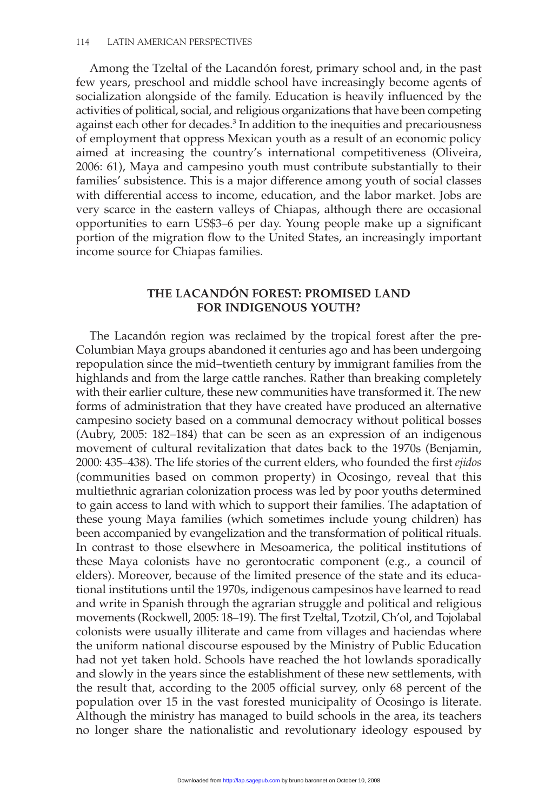Among the Tzeltal of the Lacandón forest, primary school and, in the past few years, preschool and middle school have increasingly become agents of socialization alongside of the family. Education is heavily influenced by the activities of political, social, and religious organizations that have been competing against each other for decades.<sup>3</sup> In addition to the inequities and precariousness of employment that oppress Mexican youth as a result of an economic policy aimed at increasing the country's international competitiveness (Oliveira, 2006: 61), Maya and campesino youth must contribute substantially to their families' subsistence. This is a major difference among youth of social classes with differential access to income, education, and the labor market. Jobs are very scarce in the eastern valleys of Chiapas, although there are occasional opportunities to earn US\$3–6 per day. Young people make up a significant portion of the migration flow to the United States, an increasingly important income source for Chiapas families.

## **THE LACANDÓN FOREST: PROMISED LAND FOR INDIGENOUS YOUTH?**

The Lacandón region was reclaimed by the tropical forest after the pre-Columbian Maya groups abandoned it centuries ago and has been undergoing repopulation since the mid–twentieth century by immigrant families from the highlands and from the large cattle ranches. Rather than breaking completely with their earlier culture, these new communities have transformed it. The new forms of administration that they have created have produced an alternative campesino society based on a communal democracy without political bosses (Aubry, 2005: 182–184) that can be seen as an expression of an indigenous movement of cultural revitalization that dates back to the 1970s (Benjamin, 2000: 435–438). The life stories of the current elders, who founded the first *ejidos* (communities based on common property) in Ocosingo, reveal that this multiethnic agrarian colonization process was led by poor youths determined to gain access to land with which to support their families. The adaptation of these young Maya families (which sometimes include young children) has been accompanied by evangelization and the transformation of political rituals. In contrast to those elsewhere in Mesoamerica, the political institutions of these Maya colonists have no gerontocratic component (e.g., a council of elders). Moreover, because of the limited presence of the state and its educational institutions until the 1970s, indigenous campesinos have learned to read and write in Spanish through the agrarian struggle and political and religious movements (Rockwell, 2005: 18–19). The first Tzeltal, Tzotzil, Ch'ol, and Tojolabal colonists were usually illiterate and came from villages and haciendas where the uniform national discourse espoused by the Ministry of Public Education had not yet taken hold. Schools have reached the hot lowlands sporadically and slowly in the years since the establishment of these new settlements, with the result that, according to the 2005 official survey, only 68 percent of the population over 15 in the vast forested municipality of Ocosingo is literate. Although the ministry has managed to build schools in the area, its teachers no longer share the nationalistic and revolutionary ideology espoused by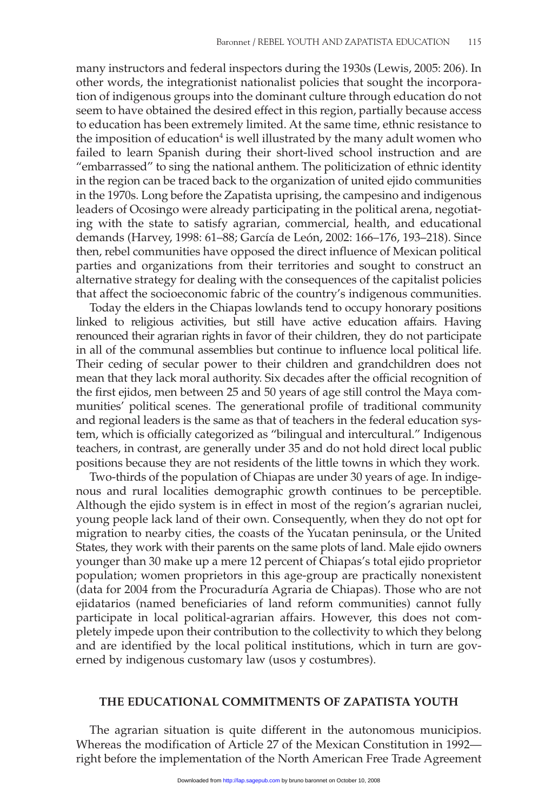many instructors and federal inspectors during the 1930s (Lewis, 2005: 206). In other words, the integrationist nationalist policies that sought the incorporation of indigenous groups into the dominant culture through education do not seem to have obtained the desired effect in this region, partially because access to education has been extremely limited. At the same time, ethnic resistance to the imposition of education<sup>4</sup> is well illustrated by the many adult women who failed to learn Spanish during their short-lived school instruction and are "embarrassed" to sing the national anthem. The politicization of ethnic identity in the region can be traced back to the organization of united ejido communities in the 1970s. Long before the Zapatista uprising, the campesino and indigenous leaders of Ocosingo were already participating in the political arena, negotiating with the state to satisfy agrarian, commercial, health, and educational demands (Harvey, 1998: 61–88; García de León, 2002: 166–176, 193–218). Since then, rebel communities have opposed the direct influence of Mexican political parties and organizations from their territories and sought to construct an alternative strategy for dealing with the consequences of the capitalist policies that affect the socioeconomic fabric of the country's indigenous communities.

Today the elders in the Chiapas lowlands tend to occupy honorary positions linked to religious activities, but still have active education affairs. Having renounced their agrarian rights in favor of their children, they do not participate in all of the communal assemblies but continue to influence local political life. Their ceding of secular power to their children and grandchildren does not mean that they lack moral authority. Six decades after the official recognition of the first ejidos, men between 25 and 50 years of age still control the Maya communities' political scenes. The generational profile of traditional community and regional leaders is the same as that of teachers in the federal education system, which is officially categorized as "bilingual and intercultural." Indigenous teachers, in contrast, are generally under 35 and do not hold direct local public positions because they are not residents of the little towns in which they work.

Two-thirds of the population of Chiapas are under 30 years of age. In indigenous and rural localities demographic growth continues to be perceptible. Although the ejido system is in effect in most of the region's agrarian nuclei, young people lack land of their own. Consequently, when they do not opt for migration to nearby cities, the coasts of the Yucatan peninsula, or the United States, they work with their parents on the same plots of land. Male ejido owners younger than 30 make up a mere 12 percent of Chiapas's total ejido proprietor population; women proprietors in this age-group are practically nonexistent (data for 2004 from the Procuraduría Agraria de Chiapas). Those who are not ejidatarios (named beneficiaries of land reform communities) cannot fully participate in local political-agrarian affairs. However, this does not completely impede upon their contribution to the collectivity to which they belong and are identified by the local political institutions, which in turn are governed by indigenous customary law (usos y costumbres).

#### **THE EDUCATIONAL COMMITMENTS OF ZAPATISTA YOUTH**

The agrarian situation is quite different in the autonomous municipios. Whereas the modification of Article 27 of the Mexican Constitution in 1992 right before the implementation of the North American Free Trade Agreement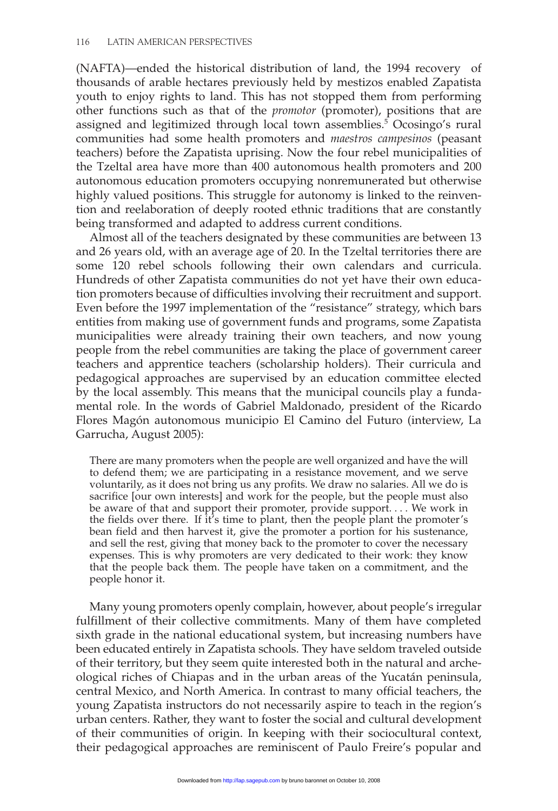(NAFTA)—ended the historical distribution of land, the 1994 recovery of thousands of arable hectares previously held by mestizos enabled Zapatista youth to enjoy rights to land. This has not stopped them from performing other functions such as that of the *promotor* (promoter), positions that are assigned and legitimized through local town assemblies.<sup>5</sup> Ocosingo's rural communities had some health promoters and *maestros campesinos* (peasant teachers) before the Zapatista uprising. Now the four rebel municipalities of the Tzeltal area have more than 400 autonomous health promoters and 200 autonomous education promoters occupying nonremunerated but otherwise highly valued positions. This struggle for autonomy is linked to the reinvention and reelaboration of deeply rooted ethnic traditions that are constantly being transformed and adapted to address current conditions.

Almost all of the teachers designated by these communities are between 13 and 26 years old, with an average age of 20. In the Tzeltal territories there are some 120 rebel schools following their own calendars and curricula. Hundreds of other Zapatista communities do not yet have their own education promoters because of difficulties involving their recruitment and support. Even before the 1997 implementation of the "resistance" strategy, which bars entities from making use of government funds and programs, some Zapatista municipalities were already training their own teachers, and now young people from the rebel communities are taking the place of government career teachers and apprentice teachers (scholarship holders). Their curricula and pedagogical approaches are supervised by an education committee elected by the local assembly. This means that the municipal councils play a fundamental role. In the words of Gabriel Maldonado, president of the Ricardo Flores Magón autonomous municipio El Camino del Futuro (interview, La Garrucha, August 2005):

There are many promoters when the people are well organized and have the will to defend them; we are participating in a resistance movement, and we serve voluntarily, as it does not bring us any profits. We draw no salaries. All we do is sacrifice [our own interests] and work for the people, but the people must also be aware of that and support their promoter, provide support. . . . We work in the fields over there. If it's time to plant, then the people plant the promoter's bean field and then harvest it, give the promoter a portion for his sustenance, and sell the rest, giving that money back to the promoter to cover the necessary expenses. This is why promoters are very dedicated to their work: they know that the people back them. The people have taken on a commitment, and the people honor it.

Many young promoters openly complain, however, about people's irregular fulfillment of their collective commitments. Many of them have completed sixth grade in the national educational system, but increasing numbers have been educated entirely in Zapatista schools. They have seldom traveled outside of their territory, but they seem quite interested both in the natural and archeological riches of Chiapas and in the urban areas of the Yucatán peninsula, central Mexico, and North America. In contrast to many official teachers, the young Zapatista instructors do not necessarily aspire to teach in the region's urban centers. Rather, they want to foster the social and cultural development of their communities of origin. In keeping with their sociocultural context, their pedagogical approaches are reminiscent of Paulo Freire's popular and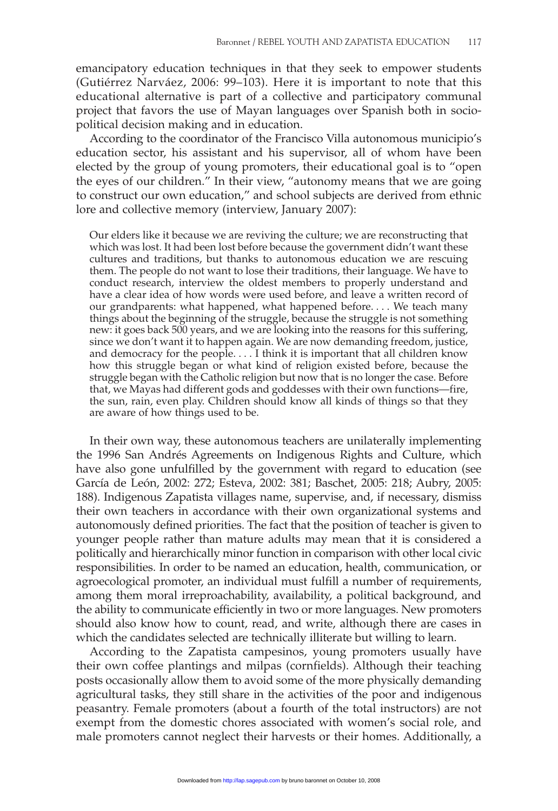emancipatory education techniques in that they seek to empower students (Gutiérrez Narváez, 2006: 99–103). Here it is important to note that this educational alternative is part of a collective and participatory communal project that favors the use of Mayan languages over Spanish both in sociopolitical decision making and in education.

According to the coordinator of the Francisco Villa autonomous municipio's education sector, his assistant and his supervisor, all of whom have been elected by the group of young promoters, their educational goal is to "open the eyes of our children." In their view, "autonomy means that we are going to construct our own education," and school subjects are derived from ethnic lore and collective memory (interview, January 2007):

Our elders like it because we are reviving the culture; we are reconstructing that which was lost. It had been lost before because the government didn't want these cultures and traditions, but thanks to autonomous education we are rescuing them. The people do not want to lose their traditions, their language. We have to conduct research, interview the oldest members to properly understand and have a clear idea of how words were used before, and leave a written record of our grandparents: what happened, what happened before. . . . We teach many things about the beginning of the struggle, because the struggle is not something new: it goes back 500 years, and we are looking into the reasons for this suffering, since we don't want it to happen again. We are now demanding freedom, justice, and democracy for the people. . . . I think it is important that all children know how this struggle began or what kind of religion existed before, because the struggle began with the Catholic religion but now that is no longer the case. Before that, we Mayas had different gods and goddesses with their own functions—fire, the sun, rain, even play. Children should know all kinds of things so that they are aware of how things used to be.

In their own way, these autonomous teachers are unilaterally implementing the 1996 San Andrés Agreements on Indigenous Rights and Culture, which have also gone unfulfilled by the government with regard to education (see García de León, 2002: 272; Esteva, 2002: 381; Baschet, 2005: 218; Aubry, 2005: 188). Indigenous Zapatista villages name, supervise, and, if necessary, dismiss their own teachers in accordance with their own organizational systems and autonomously defined priorities. The fact that the position of teacher is given to younger people rather than mature adults may mean that it is considered a politically and hierarchically minor function in comparison with other local civic responsibilities. In order to be named an education, health, communication, or agroecological promoter, an individual must fulfill a number of requirements, among them moral irreproachability, availability, a political background, and the ability to communicate efficiently in two or more languages. New promoters should also know how to count, read, and write, although there are cases in which the candidates selected are technically illiterate but willing to learn.

According to the Zapatista campesinos, young promoters usually have their own coffee plantings and milpas (cornfields). Although their teaching posts occasionally allow them to avoid some of the more physically demanding agricultural tasks, they still share in the activities of the poor and indigenous peasantry. Female promoters (about a fourth of the total instructors) are not exempt from the domestic chores associated with women's social role, and male promoters cannot neglect their harvests or their homes. Additionally, a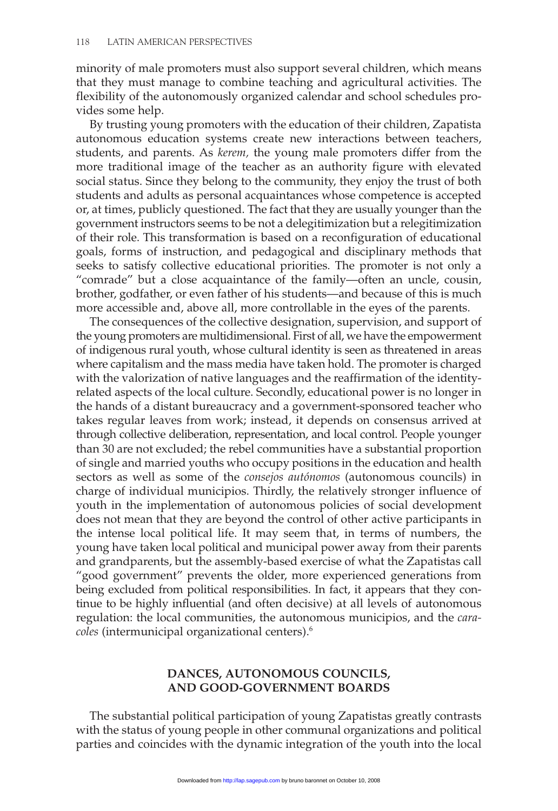minority of male promoters must also support several children, which means that they must manage to combine teaching and agricultural activities. The flexibility of the autonomously organized calendar and school schedules provides some help.

By trusting young promoters with the education of their children, Zapatista autonomous education systems create new interactions between teachers, students, and parents. As *kerem,* the young male promoters differ from the more traditional image of the teacher as an authority figure with elevated social status. Since they belong to the community, they enjoy the trust of both students and adults as personal acquaintances whose competence is accepted or, at times, publicly questioned. The fact that they are usually younger than the government instructors seems to be not a delegitimization but a relegitimization of their role. This transformation is based on a reconfiguration of educational goals, forms of instruction, and pedagogical and disciplinary methods that seeks to satisfy collective educational priorities. The promoter is not only a "comrade" but a close acquaintance of the family—often an uncle, cousin, brother, godfather, or even father of his students—and because of this is much more accessible and, above all, more controllable in the eyes of the parents.

The consequences of the collective designation, supervision, and support of the young promoters are multidimensional. First of all, we have the empowerment of indigenous rural youth, whose cultural identity is seen as threatened in areas where capitalism and the mass media have taken hold. The promoter is charged with the valorization of native languages and the reaffirmation of the identityrelated aspects of the local culture. Secondly, educational power is no longer in the hands of a distant bureaucracy and a government-sponsored teacher who takes regular leaves from work; instead, it depends on consensus arrived at through collective deliberation, representation, and local control. People younger than 30 are not excluded; the rebel communities have a substantial proportion of single and married youths who occupy positions in the education and health sectors as well as some of the *consejos autónomos* (autonomous councils) in charge of individual municipios. Thirdly, the relatively stronger influence of youth in the implementation of autonomous policies of social development does not mean that they are beyond the control of other active participants in the intense local political life. It may seem that, in terms of numbers, the young have taken local political and municipal power away from their parents and grandparents, but the assembly-based exercise of what the Zapatistas call "good government" prevents the older, more experienced generations from being excluded from political responsibilities. In fact, it appears that they continue to be highly influential (and often decisive) at all levels of autonomous regulation: the local communities, the autonomous municipios, and the *caracoles* (intermunicipal organizational centers).6

## **DANCES, AUTONOMOUS COUNCILS, AND GOOD-GOVERNMENT BOARDS**

The substantial political participation of young Zapatistas greatly contrasts with the status of young people in other communal organizations and political parties and coincides with the dynamic integration of the youth into the local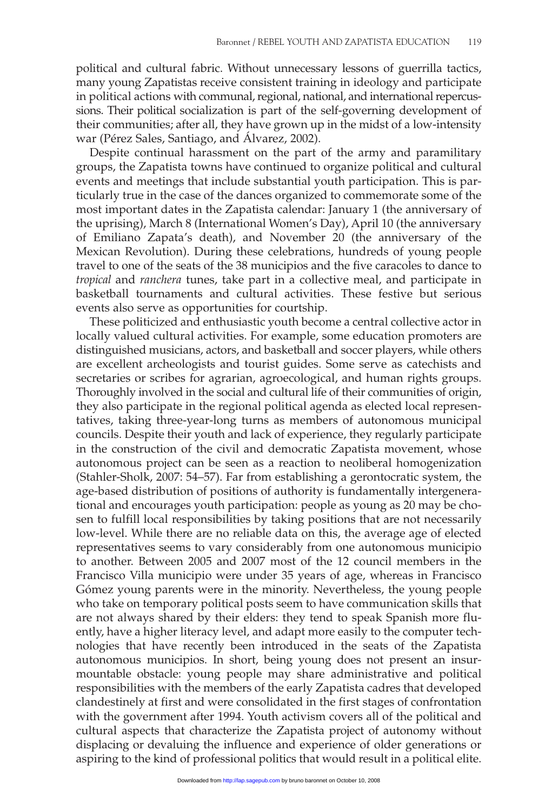political and cultural fabric. Without unnecessary lessons of guerrilla tactics, many young Zapatistas receive consistent training in ideology and participate in political actions with communal, regional, national, and international repercussions. Their political socialization is part of the self-governing development of their communities; after all, they have grown up in the midst of a low-intensity war (Pérez Sales, Santiago, and Álvarez, 2002).

Despite continual harassment on the part of the army and paramilitary groups, the Zapatista towns have continued to organize political and cultural events and meetings that include substantial youth participation. This is particularly true in the case of the dances organized to commemorate some of the most important dates in the Zapatista calendar: January 1 (the anniversary of the uprising), March 8 (International Women's Day), April 10 (the anniversary of Emiliano Zapata's death), and November 20 (the anniversary of the Mexican Revolution). During these celebrations, hundreds of young people travel to one of the seats of the 38 municipios and the five caracoles to dance to *tropical* and *ranchera* tunes, take part in a collective meal, and participate in basketball tournaments and cultural activities. These festive but serious events also serve as opportunities for courtship.

These politicized and enthusiastic youth become a central collective actor in locally valued cultural activities. For example, some education promoters are distinguished musicians, actors, and basketball and soccer players, while others are excellent archeologists and tourist guides. Some serve as catechists and secretaries or scribes for agrarian, agroecological, and human rights groups. Thoroughly involved in the social and cultural life of their communities of origin, they also participate in the regional political agenda as elected local representatives, taking three-year-long turns as members of autonomous municipal councils. Despite their youth and lack of experience, they regularly participate in the construction of the civil and democratic Zapatista movement, whose autonomous project can be seen as a reaction to neoliberal homogenization (Stahler-Sholk, 2007: 54–57). Far from establishing a gerontocratic system, the age-based distribution of positions of authority is fundamentally intergenerational and encourages youth participation: people as young as 20 may be chosen to fulfill local responsibilities by taking positions that are not necessarily low-level. While there are no reliable data on this, the average age of elected representatives seems to vary considerably from one autonomous municipio to another. Between 2005 and 2007 most of the 12 council members in the Francisco Villa municipio were under 35 years of age, whereas in Francisco Gómez young parents were in the minority. Nevertheless, the young people who take on temporary political posts seem to have communication skills that are not always shared by their elders: they tend to speak Spanish more fluently, have a higher literacy level, and adapt more easily to the computer technologies that have recently been introduced in the seats of the Zapatista autonomous municipios. In short, being young does not present an insurmountable obstacle: young people may share administrative and political responsibilities with the members of the early Zapatista cadres that developed clandestinely at first and were consolidated in the first stages of confrontation with the government after 1994. Youth activism covers all of the political and cultural aspects that characterize the Zapatista project of autonomy without displacing or devaluing the influence and experience of older generations or aspiring to the kind of professional politics that would result in a political elite.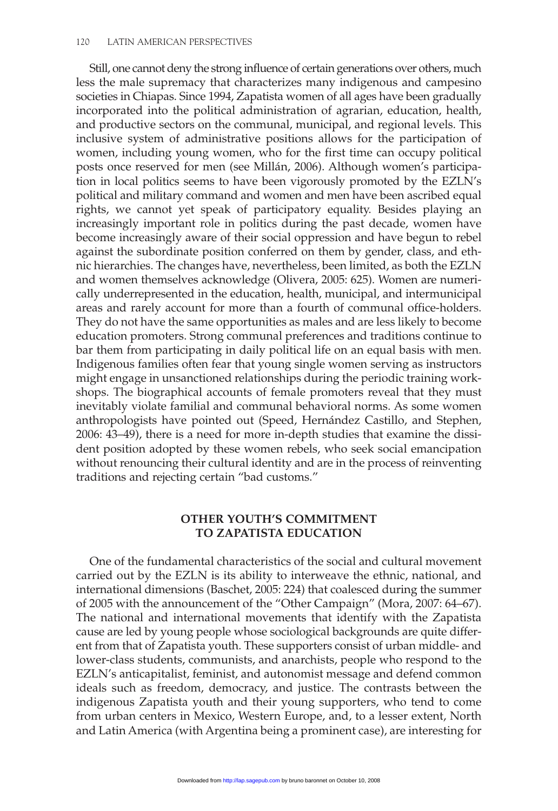Still, one cannot deny the strong influence of certain generations over others, much less the male supremacy that characterizes many indigenous and campesino societies in Chiapas. Since 1994, Zapatista women of all ages have been gradually incorporated into the political administration of agrarian, education, health, and productive sectors on the communal, municipal, and regional levels. This inclusive system of administrative positions allows for the participation of women, including young women, who for the first time can occupy political posts once reserved for men (see Millán, 2006). Although women's participation in local politics seems to have been vigorously promoted by the EZLN's political and military command and women and men have been ascribed equal rights, we cannot yet speak of participatory equality. Besides playing an increasingly important role in politics during the past decade, women have become increasingly aware of their social oppression and have begun to rebel against the subordinate position conferred on them by gender, class, and ethnic hierarchies. The changes have, nevertheless, been limited, as both the EZLN and women themselves acknowledge (Olivera, 2005: 625). Women are numerically underrepresented in the education, health, municipal, and intermunicipal areas and rarely account for more than a fourth of communal office-holders. They do not have the same opportunities as males and are less likely to become education promoters. Strong communal preferences and traditions continue to bar them from participating in daily political life on an equal basis with men. Indigenous families often fear that young single women serving as instructors might engage in unsanctioned relationships during the periodic training workshops. The biographical accounts of female promoters reveal that they must inevitably violate familial and communal behavioral norms. As some women anthropologists have pointed out (Speed, Hernández Castillo, and Stephen, 2006: 43–49), there is a need for more in-depth studies that examine the dissident position adopted by these women rebels, who seek social emancipation without renouncing their cultural identity and are in the process of reinventing traditions and rejecting certain "bad customs."

## **OTHER YOUTH'S COMMITMENT TO ZAPATISTA EDUCATION**

One of the fundamental characteristics of the social and cultural movement carried out by the EZLN is its ability to interweave the ethnic, national, and international dimensions (Baschet, 2005: 224) that coalesced during the summer of 2005 with the announcement of the "Other Campaign" (Mora, 2007: 64–67). The national and international movements that identify with the Zapatista cause are led by young people whose sociological backgrounds are quite different from that of Zapatista youth. These supporters consist of urban middle- and lower-class students, communists, and anarchists, people who respond to the EZLN's anticapitalist, feminist, and autonomist message and defend common ideals such as freedom, democracy, and justice. The contrasts between the indigenous Zapatista youth and their young supporters, who tend to come from urban centers in Mexico, Western Europe, and, to a lesser extent, North and Latin America (with Argentina being a prominent case), are interesting for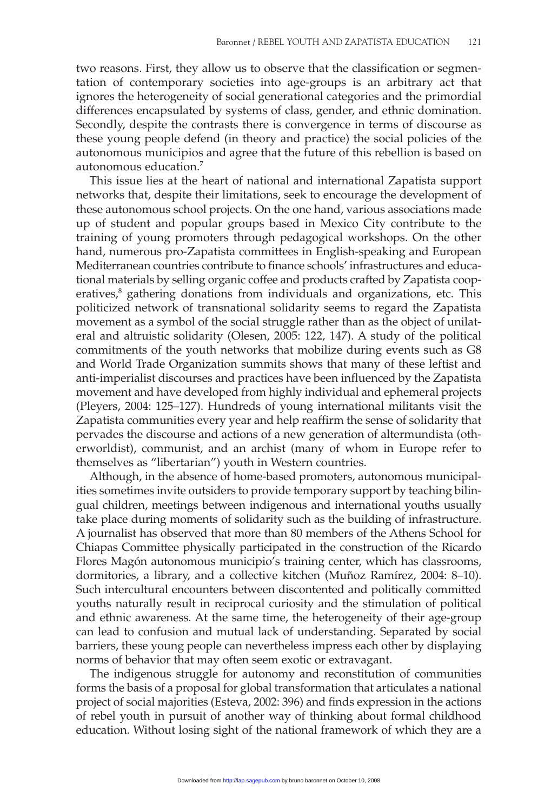two reasons. First, they allow us to observe that the classification or segmentation of contemporary societies into age-groups is an arbitrary act that ignores the heterogeneity of social generational categories and the primordial differences encapsulated by systems of class, gender, and ethnic domination. Secondly, despite the contrasts there is convergence in terms of discourse as these young people defend (in theory and practice) the social policies of the autonomous municipios and agree that the future of this rebellion is based on autonomous education.7

This issue lies at the heart of national and international Zapatista support networks that, despite their limitations, seek to encourage the development of these autonomous school projects. On the one hand, various associations made up of student and popular groups based in Mexico City contribute to the training of young promoters through pedagogical workshops. On the other hand, numerous pro-Zapatista committees in English-speaking and European Mediterranean countries contribute to finance schools' infrastructures and educational materials by selling organic coffee and products crafted by Zapatista cooperatives,<sup>8</sup> gathering donations from individuals and organizations, etc. This politicized network of transnational solidarity seems to regard the Zapatista movement as a symbol of the social struggle rather than as the object of unilateral and altruistic solidarity (Olesen, 2005: 122, 147). A study of the political commitments of the youth networks that mobilize during events such as G8 and World Trade Organization summits shows that many of these leftist and anti-imperialist discourses and practices have been influenced by the Zapatista movement and have developed from highly individual and ephemeral projects (Pleyers, 2004: 125–127). Hundreds of young international militants visit the Zapatista communities every year and help reaffirm the sense of solidarity that pervades the discourse and actions of a new generation of altermundista (otherworldist), communist, and an archist (many of whom in Europe refer to themselves as "libertarian") youth in Western countries.

Although, in the absence of home-based promoters, autonomous municipalities sometimes invite outsiders to provide temporary support by teaching bilingual children, meetings between indigenous and international youths usually take place during moments of solidarity such as the building of infrastructure. A journalist has observed that more than 80 members of the Athens School for Chiapas Committee physically participated in the construction of the Ricardo Flores Magón autonomous municipio's training center, which has classrooms, dormitories, a library, and a collective kitchen (Muñoz Ramírez, 2004: 8–10). Such intercultural encounters between discontented and politically committed youths naturally result in reciprocal curiosity and the stimulation of political and ethnic awareness. At the same time, the heterogeneity of their age-group can lead to confusion and mutual lack of understanding. Separated by social barriers, these young people can nevertheless impress each other by displaying norms of behavior that may often seem exotic or extravagant.

The indigenous struggle for autonomy and reconstitution of communities forms the basis of a proposal for global transformation that articulates a national project of social majorities (Esteva, 2002: 396) and finds expression in the actions of rebel youth in pursuit of another way of thinking about formal childhood education. Without losing sight of the national framework of which they are a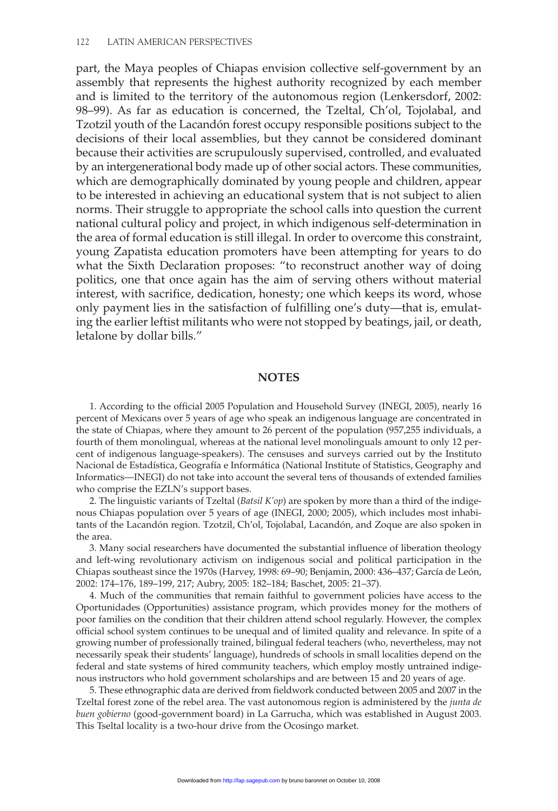part, the Maya peoples of Chiapas envision collective self-government by an assembly that represents the highest authority recognized by each member and is limited to the territory of the autonomous region (Lenkersdorf, 2002: 98–99). As far as education is concerned, the Tzeltal, Ch'ol, Tojolabal, and Tzotzil youth of the Lacandón forest occupy responsible positions subject to the decisions of their local assemblies, but they cannot be considered dominant because their activities are scrupulously supervised, controlled, and evaluated by an intergenerational body made up of other social actors. These communities, which are demographically dominated by young people and children, appear to be interested in achieving an educational system that is not subject to alien norms. Their struggle to appropriate the school calls into question the current national cultural policy and project, in which indigenous self-determination in the area of formal education is still illegal. In order to overcome this constraint, young Zapatista education promoters have been attempting for years to do what the Sixth Declaration proposes: "to reconstruct another way of doing politics, one that once again has the aim of serving others without material interest, with sacrifice, dedication, honesty; one which keeps its word, whose only payment lies in the satisfaction of fulfilling one's duty—that is, emulating the earlier leftist militants who were not stopped by beatings, jail, or death, letalone by dollar bills."

#### **NOTES**

1. According to the official 2005 Population and Household Survey (INEGI, 2005), nearly 16 percent of Mexicans over 5 years of age who speak an indigenous language are concentrated in the state of Chiapas, where they amount to 26 percent of the population (957,255 individuals, a fourth of them monolingual, whereas at the national level monolinguals amount to only 12 percent of indigenous language-speakers). The censuses and surveys carried out by the Instituto Nacional de Estadística, Geografía e Informática (National Institute of Statistics, Geography and Informatics—INEGI) do not take into account the several tens of thousands of extended families who comprise the EZLN's support bases.

2. The linguistic variants of Tzeltal (*Batsil K'op*) are spoken by more than a third of the indigenous Chiapas population over 5 years of age (INEGI, 2000; 2005), which includes most inhabitants of the Lacandón region. Tzotzil, Ch'ol, Tojolabal, Lacandón, and Zoque are also spoken in the area.

3. Many social researchers have documented the substantial influence of liberation theology and left-wing revolutionary activism on indigenous social and political participation in the Chiapas southeast since the 1970s (Harvey, 1998: 69–90; Benjamin, 2000: 436–437; García de León, 2002: 174–176, 189–199, 217; Aubry, 2005: 182–184; Baschet, 2005: 21–37).

4. Much of the communities that remain faithful to government policies have access to the Oportunidades (Opportunities) assistance program, which provides money for the mothers of poor families on the condition that their children attend school regularly. However, the complex official school system continues to be unequal and of limited quality and relevance. In spite of a growing number of professionally trained, bilingual federal teachers (who, nevertheless, may not necessarily speak their students' language), hundreds of schools in small localities depend on the federal and state systems of hired community teachers, which employ mostly untrained indigenous instructors who hold government scholarships and are between 15 and 20 years of age.

5. These ethnographic data are derived from fieldwork conducted between 2005 and 2007 in the Tzeltal forest zone of the rebel area. The vast autonomous region is administered by the *junta de buen gobierno* (good-government board) in La Garrucha, which was established in August 2003. This Tseltal locality is a two-hour drive from the Ocosingo market.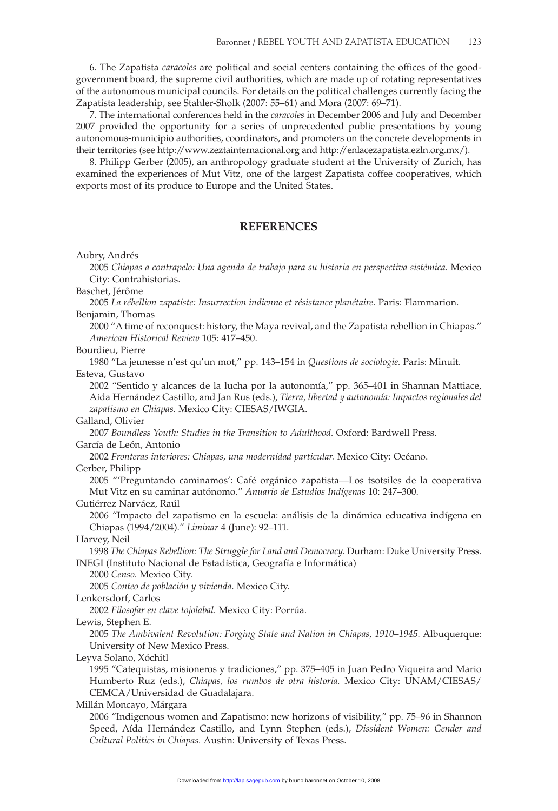6. The Zapatista *caracoles* are political and social centers containing the offices of the goodgovernment board*,* the supreme civil authorities, which are made up of rotating representatives of the autonomous municipal councils. For details on the political challenges currently facing the Zapatista leadership, see Stahler-Sholk (2007: 55–61) and Mora (2007: 69–71).

7. The international conferences held in the *caracoles* in December 2006 and July and December 2007 provided the opportunity for a series of unprecedented public presentations by young autonomous-municipio authorities, coordinators, and promoters on the concrete developments in their territories (see http://www.zeztainternacional.org and http://enlacezapatista.ezln.org.mx/).

8. Philipp Gerber (2005), an anthropology graduate student at the University of Zurich, has examined the experiences of Mut Vitz, one of the largest Zapatista coffee cooperatives, which exports most of its produce to Europe and the United States.

#### **REFERENCES**

Aubry, Andrés

2005 *Chiapas a contrapelo: Una agenda de trabajo para su historia en perspectiva sistémica.* Mexico City: Contrahistorias.

Baschet, Jérôme

2005 *La rébellion zapatiste: Insurrection indienne et résistance planétaire.* Paris: Flammarion. Benjamin, Thomas

2000 "A time of reconquest: history, the Maya revival, and the Zapatista rebellion in Chiapas." *American Historical Review* 105: 417–450.

Bourdieu, Pierre

1980 "La jeunesse n'est qu'un mot," pp. 143–154 in *Questions de sociologie.* Paris: Minuit. Esteva, Gustavo

2002 "Sentido y alcances de la lucha por la autonomía," pp. 365–401 in Shannan Mattiace, Aída Hernández Castillo, and Jan Rus (eds.), *Tierra, libertad y autonomía: Impactos regionales del zapatismo en Chiapas.* Mexico City: CIESAS/IWGIA.

Galland, Olivier

2007 *Boundless Youth: Studies in the Transition to Adulthood.* Oxford: Bardwell Press. García de León, Antonio

2002 *Fronteras interiores: Chiapas, una modernidad particular.* Mexico City: Océano.

Gerber, Philipp

2005 "'Preguntando caminamos': Café orgánico zapatista—Los tsotsiles de la cooperativa Mut Vitz en su caminar autónomo." *Anuario de Estudios Indígenas* 10: 247–300.

Gutiérrez Narváez, Raúl

2006 "Impacto del zapatismo en la escuela: análisis de la dinámica educativa indígena en Chiapas (1994/2004)." *Liminar* 4 (June): 92–111.

Harvey, Neil

1998 *The Chiapas Rebellion: The Struggle for Land and Democracy.* Durham: Duke University Press. INEGI (Instituto Nacional de Estadística, Geografía e Informática)

2000 *Censo.* Mexico City. 2005 *Conteo de población y vivienda.* Mexico City.

Lenkersdorf, Carlos

2002 *Filosofar en clave tojolabal.* Mexico City: Porrúa.

Lewis, Stephen E.

2005 *The Ambivalent Revolution: Forging State and Nation in Chiapas, 1910–1945.* Albuquerque: University of New Mexico Press.

Leyva Solano, Xóchitl

1995 "Catequistas, misioneros y tradiciones," pp. 375–405 in Juan Pedro Viqueira and Mario Humberto Ruz (eds.), *Chiapas, los rumbos de otra historia.* Mexico City: UNAM/CIESAS/ CEMCA/Universidad de Guadalajara.

Millán Moncayo, Márgara

2006 "Indigenous women and Zapatismo: new horizons of visibility," pp. 75–96 in Shannon Speed, Aída Hernández Castillo, and Lynn Stephen (eds.), *Dissident Women: Gender and Cultural Politics in Chiapas.* Austin: University of Texas Press.